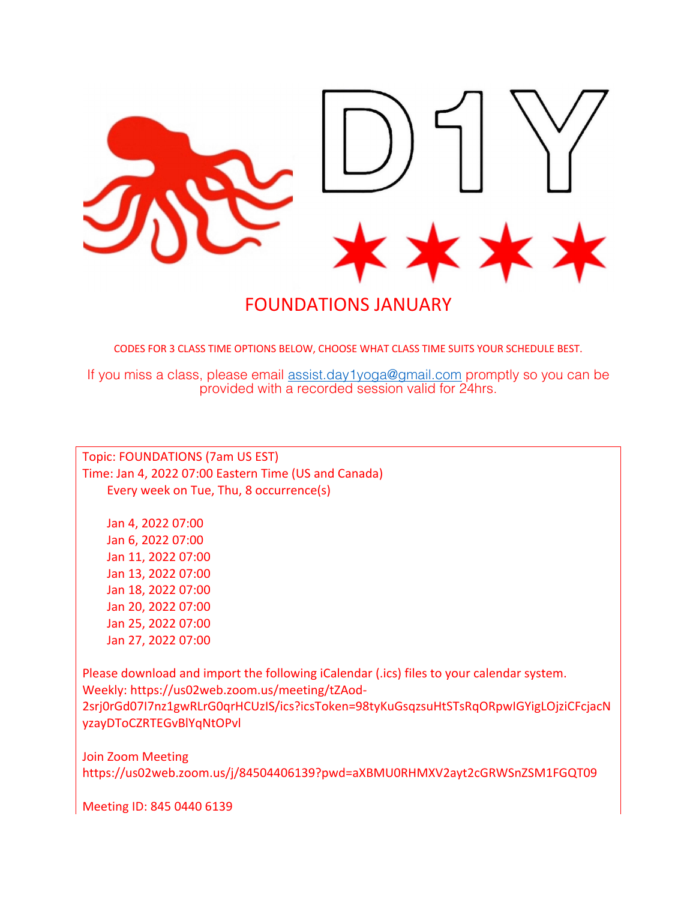

FOUNDATIONS JANUARY

CODES FOR 3 CLASS TIME OPTIONS BELOW, CHOOSE WHAT CLASS TIME SUITS YOUR SCHEDULE BEST.

If you miss a class, please email assist.day1yoga@gmail.com promptly so you can be provided with a recorded session valid for 24hrs.

Topic: FOUNDATIONS (7am US EST) Time: Jan 4, 2022 07:00 Eastern Time (US and Canada) Every week on Tue, Thu, 8 occurrence(s)

 Jan 4, 2022 07:00 Jan 6, 2022 07:00 Jan 11, 2022 07:00 Jan 13, 2022 07:00 Jan 18, 2022 07:00 Jan 20, 2022 07:00 Jan 25, 2022 07:00 Jan 27, 2022 07:00

Please download and import the following iCalendar (.ics) files to your calendar system. Weekly: https://us02web.zoom.us/meeting/tZAod-2srj0rGd07I7nz1gwRLrG0qrHCUzIS/ics?icsToken=98tyKuGsqzsuHtSTsRqORpwIGYigLOjziCFcjacN yzayDToCZRTEGvBlYqNtOPvl

Join Zoom Meeting https://us02web.zoom.us/j/84504406139?pwd=aXBMU0RHMXV2ayt2cGRWSnZSM1FGQT09

Meeting ID: 845 0440 6139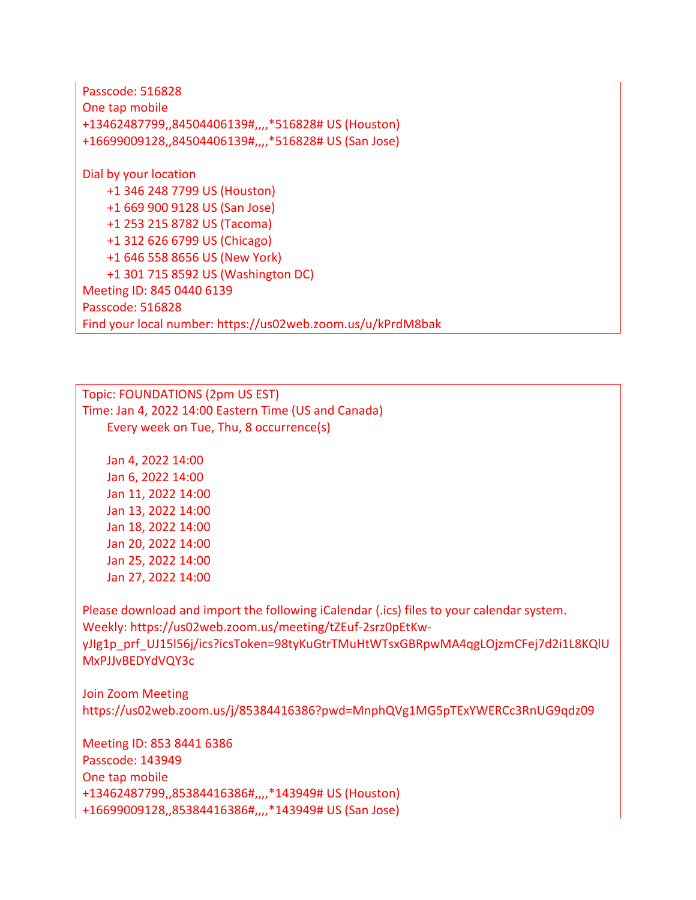Passcode: 516828 One tap mobile +13462487799,,84504406139#,,,,\*516828# US (Houston) +16699009128,,84504406139#,,,,\*516828# US (San Jose) Dial by your location +1 346 248 7799 US (Houston) +1 669 900 9128 US (San Jose) +1 253 215 8782 US (Tacoma) +1 312 626 6799 US (Chicago) +1 646 558 8656 US (New York) +1 301 715 8592 US (Washington DC) Meeting ID: 845 0440 6139 Passcode: 516828 Find your local number: https://us02web.zoom.us/u/kPrdM8bak

Topic: FOUNDATIONS (2pm US EST) Time: Jan 4, 2022 14:00 Eastern Time (US and Canada) Every week on Tue, Thu, 8 occurrence(s)

 Jan 4, 2022 14:00 Jan 6, 2022 14:00 Jan 11, 2022 14:00 Jan 13, 2022 14:00 Jan 18, 2022 14:00 Jan 20, 2022 14:00 Jan 25, 2022 14:00 Jan 27, 2022 14:00

Please download and import the following iCalendar (.ics) files to your calendar system. Weekly: https://us02web.zoom.us/meeting/tZEuf-2srz0pEtKwyJIg1p\_prf\_UJ15l56j/ics?icsToken=98tyKuGtrTMuHtWTsxGBRpwMA4qgLOjzmCFej7d2i1L8KQlU MxPJJvBEDYdVQY3c

Join Zoom Meeting https://us02web.zoom.us/j/85384416386?pwd=MnphQVg1MG5pTExYWERCc3RnUG9qdz09

Meeting ID: 853 8441 6386 Passcode: 143949 One tap mobile +13462487799,,85384416386#,,,,\*143949# US (Houston) +16699009128,,85384416386#,,,,\*143949# US (San Jose)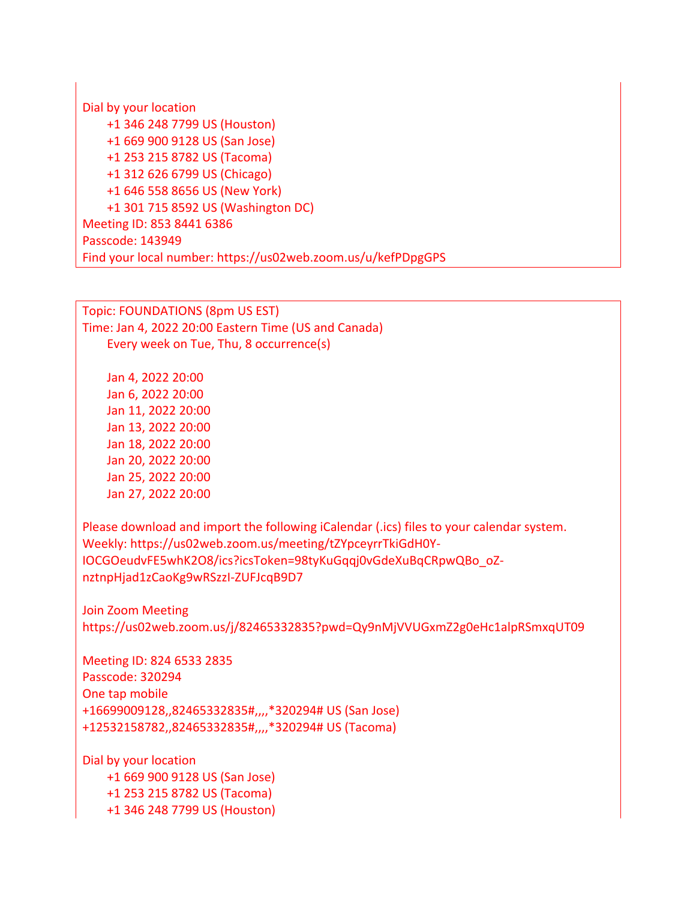Dial by your location +1 346 248 7799 US (Houston) +1 669 900 9128 US (San Jose) +1 253 215 8782 US (Tacoma) +1 312 626 6799 US (Chicago) +1 646 558 8656 US (New York) +1 301 715 8592 US (Washington DC) Meeting ID: 853 8441 6386 Passcode: 143949 Find your local number: https://us02web.zoom.us/u/kefPDpgGPS

Topic: FOUNDATIONS (8pm US EST) Time: Jan 4, 2022 20:00 Eastern Time (US and Canada) Every week on Tue, Thu, 8 occurrence(s)

 Jan 4, 2022 20:00 Jan 6, 2022 20:00 Jan 11, 2022 20:00 Jan 13, 2022 20:00 Jan 18, 2022 20:00 Jan 20, 2022 20:00 Jan 25, 2022 20:00 Jan 27, 2022 20:00

Please download and import the following iCalendar (.ics) files to your calendar system. Weekly: https://us02web.zoom.us/meeting/tZYpceyrrTkiGdH0Y-IOCGOeudvFE5whK2O8/ics?icsToken=98tyKuGqqj0vGdeXuBqCRpwQBo\_oZnztnpHjad1zCaoKg9wRSzzI-ZUFJcqB9D7

Join Zoom Meeting https://us02web.zoom.us/j/82465332835?pwd=Qy9nMjVVUGxmZ2g0eHc1alpRSmxqUT09

Meeting ID: 824 6533 2835 Passcode: 320294 One tap mobile +16699009128,,82465332835#,,,,\*320294# US (San Jose) +12532158782,,82465332835#,,,,\*320294# US (Tacoma)

Dial by your location +1 669 900 9128 US (San Jose) +1 253 215 8782 US (Tacoma) +1 346 248 7799 US (Houston)